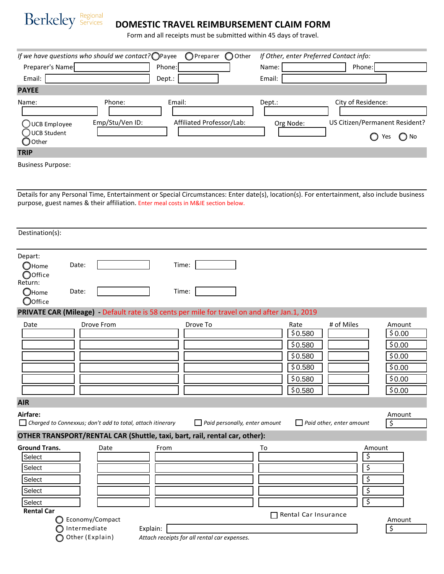

## **DOMESTIC TRAVEL REIMBURSEMENT CLAIM FORM**

Form and all receipts must be submitted within 45 days of travel.

|                                        | If we have questions who should we contact? OPayee |                           | OPreparer OOther | If Other, enter Preferred Contact info: |                                                        |
|----------------------------------------|----------------------------------------------------|---------------------------|------------------|-----------------------------------------|--------------------------------------------------------|
| Preparer's Name:                       |                                                    | Phone:                    |                  | Name:                                   | Phone:                                                 |
| Email:                                 |                                                    | Dept.:                    |                  | Email:                                  |                                                        |
| <b>PAYEE</b>                           |                                                    |                           |                  |                                         |                                                        |
| Name:                                  | Phone:                                             | Email:                    |                  | Dept.:                                  | City of Residence:                                     |
| UCB Employee<br>UCB Student<br>◯ Other | Emp/Stu/Ven ID:                                    | Affiliated Professor/Lab: |                  | Org Node:                               | US Citizen/Permanent Resident?<br>$\bigcirc$ No<br>Yes |
| <b>TRIP</b>                            |                                                    |                           |                  |                                         |                                                        |
|                                        |                                                    |                           |                  |                                         |                                                        |

Business Purpose:

Details for any Personal Time, Entertainment or Special Circumstances: Enter date(s), location(s). For entertainment, also include business purpose, guest names & their affiliation. Enter meal costs in M&IE section below.

| Destination(s):                                                                                    |                |                                                                   |                                                                                               |                                      |    |                      |                                 |                        |        |
|----------------------------------------------------------------------------------------------------|----------------|-------------------------------------------------------------------|-----------------------------------------------------------------------------------------------|--------------------------------------|----|----------------------|---------------------------------|------------------------|--------|
| Depart:<br>$\bigcirc$ Home<br>$\bigcirc$ Office<br>Return:<br>$\bigcirc$ Home<br>$\bigcirc$ Office | Date:<br>Date: |                                                                   | Time:<br>Time:                                                                                |                                      |    |                      |                                 |                        |        |
| Date                                                                                               |                | <b>Drove From</b>                                                 | PRIVATE CAR (Mileage) - Default rate is 58 cents per mile for travel on and after Jan.1, 2019 |                                      |    | Rate                 | # of Miles                      | Amount                 |        |
|                                                                                                    |                |                                                                   |                                                                                               | Drove To                             |    | \$0.580              |                                 |                        | \$0.00 |
|                                                                                                    |                |                                                                   |                                                                                               |                                      |    | \$0.580              |                                 | \$0.00                 |        |
|                                                                                                    |                |                                                                   |                                                                                               |                                      |    | \$0.580              |                                 | \$0.00                 |        |
|                                                                                                    |                |                                                                   |                                                                                               |                                      |    | \$0.580              |                                 | \$0.00                 |        |
|                                                                                                    |                |                                                                   |                                                                                               |                                      |    | \$0.580              |                                 | \$0.00                 |        |
|                                                                                                    |                |                                                                   |                                                                                               |                                      |    | \$0.580              |                                 | \$0.00                 |        |
| <b>AIR</b>                                                                                         |                |                                                                   |                                                                                               |                                      |    |                      |                                 |                        |        |
| Airfare:                                                                                           |                | $\Box$ Charged to Connexxus; don't add to total, attach itinerary |                                                                                               | $\Box$ Paid personally, enter amount |    |                      | $\Box$ Paid other, enter amount | Amount<br>\$           |        |
|                                                                                                    |                |                                                                   | OTHER TRANSPORT/RENTAL CAR (Shuttle, taxi, bart, rail, rental car, other):                    |                                      |    |                      |                                 |                        |        |
| <b>Ground Trans.</b>                                                                               |                | Date                                                              | From                                                                                          |                                      | To |                      |                                 | Amount                 |        |
| Select                                                                                             |                |                                                                   |                                                                                               |                                      |    |                      |                                 | \$                     |        |
| Select                                                                                             |                |                                                                   |                                                                                               |                                      |    |                      |                                 | \$                     |        |
| Select                                                                                             |                |                                                                   |                                                                                               |                                      |    |                      |                                 | $\overline{\varsigma}$ |        |
| Select                                                                                             |                |                                                                   |                                                                                               |                                      |    |                      |                                 | \$                     |        |
| Select                                                                                             |                |                                                                   |                                                                                               |                                      |    |                      |                                 | $\overline{\xi}$       |        |
| <b>Rental Car</b><br>O                                                                             |                | Economy/Compact                                                   |                                                                                               |                                      |    | Rental Car Insurance |                                 |                        |        |
|                                                                                                    |                | Intermediate                                                      | Explain:                                                                                      |                                      |    |                      |                                 | Amount<br>\$           |        |
| ∩                                                                                                  |                | Other (Explain)                                                   | Attach receipts for all rental car expenses.                                                  |                                      |    |                      |                                 |                        |        |